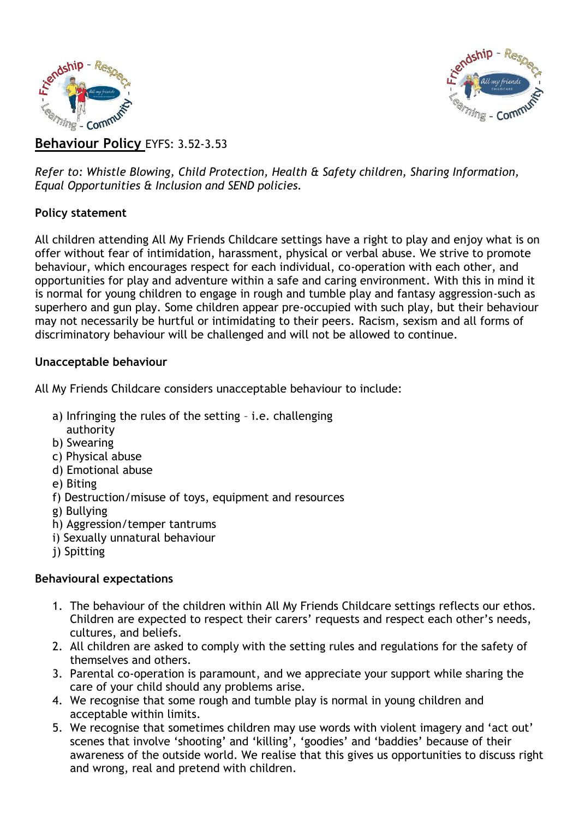



**Behaviour Policy** EYFS: 3.52-3.53

*Refer to: Whistle Blowing, Child Protection, Health & Safety children, Sharing Information, Equal Opportunities & Inclusion and SEND policies.*

### **Policy statement**

All children attending All My Friends Childcare settings have a right to play and enjoy what is on offer without fear of intimidation, harassment, physical or verbal abuse. We strive to promote behaviour, which encourages respect for each individual, co-operation with each other, and opportunities for play and adventure within a safe and caring environment. With this in mind it is normal for young children to engage in rough and tumble play and fantasy aggression-such as superhero and gun play. Some children appear pre-occupied with such play, but their behaviour may not necessarily be hurtful or intimidating to their peers. Racism, sexism and all forms of discriminatory behaviour will be challenged and will not be allowed to continue.

### **Unacceptable behaviour**

All My Friends Childcare considers unacceptable behaviour to include:

- a) Infringing the rules of the setting i.e. challenging authority
- b) Swearing
- c) Physical abuse
- d) Emotional abuse
- e) Biting
- f) Destruction/misuse of toys, equipment and resources
- g) Bullying
- h) Aggression/temper tantrums
- i) Sexually unnatural behaviour
- j) Spitting

# **Behavioural expectations**

- 1. The behaviour of the children within All My Friends Childcare settings reflects our ethos. Children are expected to respect their carers' requests and respect each other's needs, cultures, and beliefs.
- 2. All children are asked to comply with the setting rules and regulations for the safety of themselves and others.
- 3. Parental co-operation is paramount, and we appreciate your support while sharing the care of your child should any problems arise.
- 4. We recognise that some rough and tumble play is normal in young children and acceptable within limits.
- 5. We recognise that sometimes children may use words with violent imagery and 'act out' scenes that involve 'shooting' and 'killing', 'goodies' and 'baddies' because of their awareness of the outside world. We realise that this gives us opportunities to discuss right and wrong, real and pretend with children.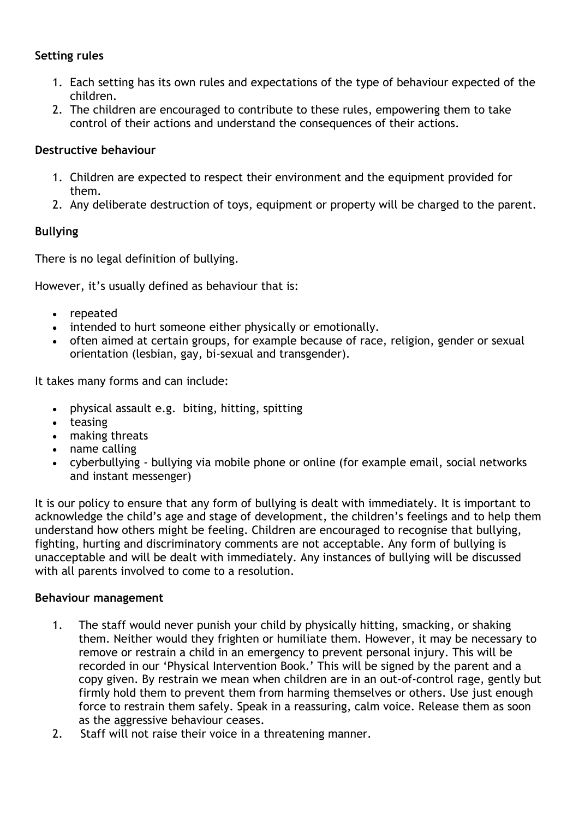### **Setting rules**

- 1. Each setting has its own rules and expectations of the type of behaviour expected of the children.
- 2. The children are encouraged to contribute to these rules, empowering them to take control of their actions and understand the consequences of their actions.

### **Destructive behaviour**

- 1. Children are expected to respect their environment and the equipment provided for them.
- 2. Any deliberate destruction of toys, equipment or property will be charged to the parent.

# **Bullying**

There is no legal definition of bullying.

However, it's usually defined as behaviour that is:

- repeated
- intended to hurt someone either physically or emotionally.
- often aimed at certain groups, for example because of race, religion, gender or sexual orientation (lesbian, gay, bi-sexual and transgender).

It takes many forms and can include:

- physical assault e.g. biting, hitting, spitting
- teasing
- making threats
- name calling
- cyberbullying bullying via mobile phone or online (for example email, social networks and instant messenger)

It is our policy to ensure that any form of bullying is dealt with immediately. It is important to acknowledge the child's age and stage of development, the children's feelings and to help them understand how others might be feeling. Children are encouraged to recognise that bullying, fighting, hurting and discriminatory comments are not acceptable. Any form of bullying is unacceptable and will be dealt with immediately. Any instances of bullying will be discussed with all parents involved to come to a resolution.

### **Behaviour management**

- 1. The staff would never punish your child by physically hitting, smacking, or shaking them. Neither would they frighten or humiliate them. However, it may be necessary to remove or restrain a child in an emergency to prevent personal injury. This will be recorded in our 'Physical Intervention Book.' This will be signed by the parent and a copy given. By restrain we mean when children are in an out-of-control rage, gently but firmly hold them to prevent them from harming themselves or others. Use just enough force to restrain them safely. Speak in a reassuring, calm voice. Release them as soon as the aggressive behaviour ceases.
- 2. Staff will not raise their voice in a threatening manner.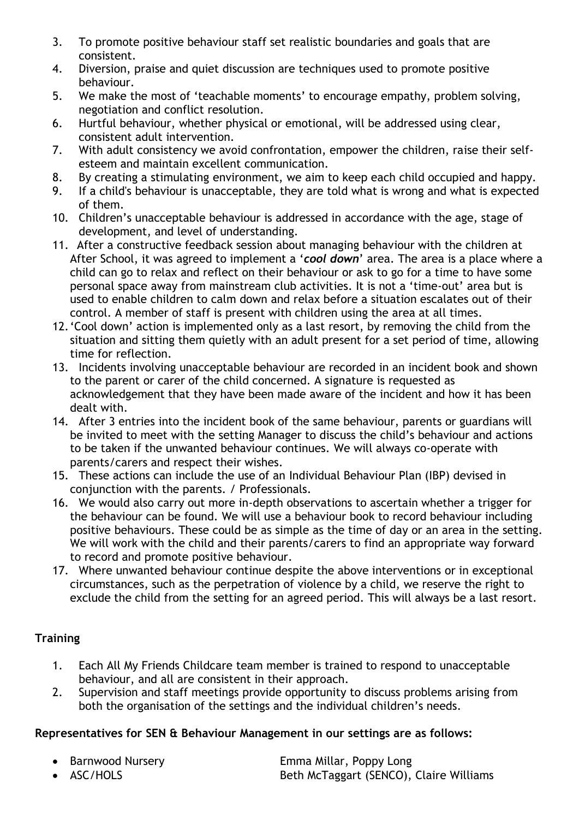- 3. To promote positive behaviour staff set realistic boundaries and goals that are consistent.
- 4. Diversion, praise and quiet discussion are techniques used to promote positive behaviour.
- 5. We make the most of 'teachable moments' to encourage empathy, problem solving, negotiation and conflict resolution.
- 6. Hurtful behaviour, whether physical or emotional, will be addressed using clear, consistent adult intervention.
- 7. With adult consistency we avoid confrontation, empower the children, raise their selfesteem and maintain excellent communication.
- 8. By creating a stimulating environment, we aim to keep each child occupied and happy.
- 9. If a child's behaviour is unacceptable, they are told what is wrong and what is expected of them.
- 10. Children's unacceptable behaviour is addressed in accordance with the age, stage of development, and level of understanding.
- 11. After a constructive feedback session about managing behaviour with the children at After School, it was agreed to implement a '*cool down*' area. The area is a place where a child can go to relax and reflect on their behaviour or ask to go for a time to have some personal space away from mainstream club activities. It is not a 'time-out' area but is used to enable children to calm down and relax before a situation escalates out of their control. A member of staff is present with children using the area at all times.
- 12.'Cool down' action is implemented only as a last resort, by removing the child from the situation and sitting them quietly with an adult present for a set period of time, allowing time for reflection.
- 13. Incidents involving unacceptable behaviour are recorded in an incident book and shown to the parent or carer of the child concerned. A signature is requested as acknowledgement that they have been made aware of the incident and how it has been dealt with.
- 14. After 3 entries into the incident book of the same behaviour, parents or guardians will be invited to meet with the setting Manager to discuss the child's behaviour and actions to be taken if the unwanted behaviour continues. We will always co-operate with parents/carers and respect their wishes.
- 15. These actions can include the use of an Individual Behaviour Plan (IBP) devised in conjunction with the parents. / Professionals.
- 16. We would also carry out more in-depth observations to ascertain whether a trigger for the behaviour can be found. We will use a behaviour book to record behaviour including positive behaviours. These could be as simple as the time of day or an area in the setting. We will work with the child and their parents/carers to find an appropriate way forward to record and promote positive behaviour.
- 17. Where unwanted behaviour continue despite the above interventions or in exceptional circumstances, such as the perpetration of violence by a child, we reserve the right to exclude the child from the setting for an agreed period. This will always be a last resort.

# **Training**

- 1. Each All My Friends Childcare team member is trained to respond to unacceptable behaviour, and all are consistent in their approach.
- 2. Supervision and staff meetings provide opportunity to discuss problems arising from both the organisation of the settings and the individual children's needs.

# **Representatives for SEN & Behaviour Management in our settings are as follows:**

- 
- Barnwood Nursery **Emma Millar, Poppy Long** • ASC/HOLS **Beth McTaggart (SENCO)**, Claire Williams
-